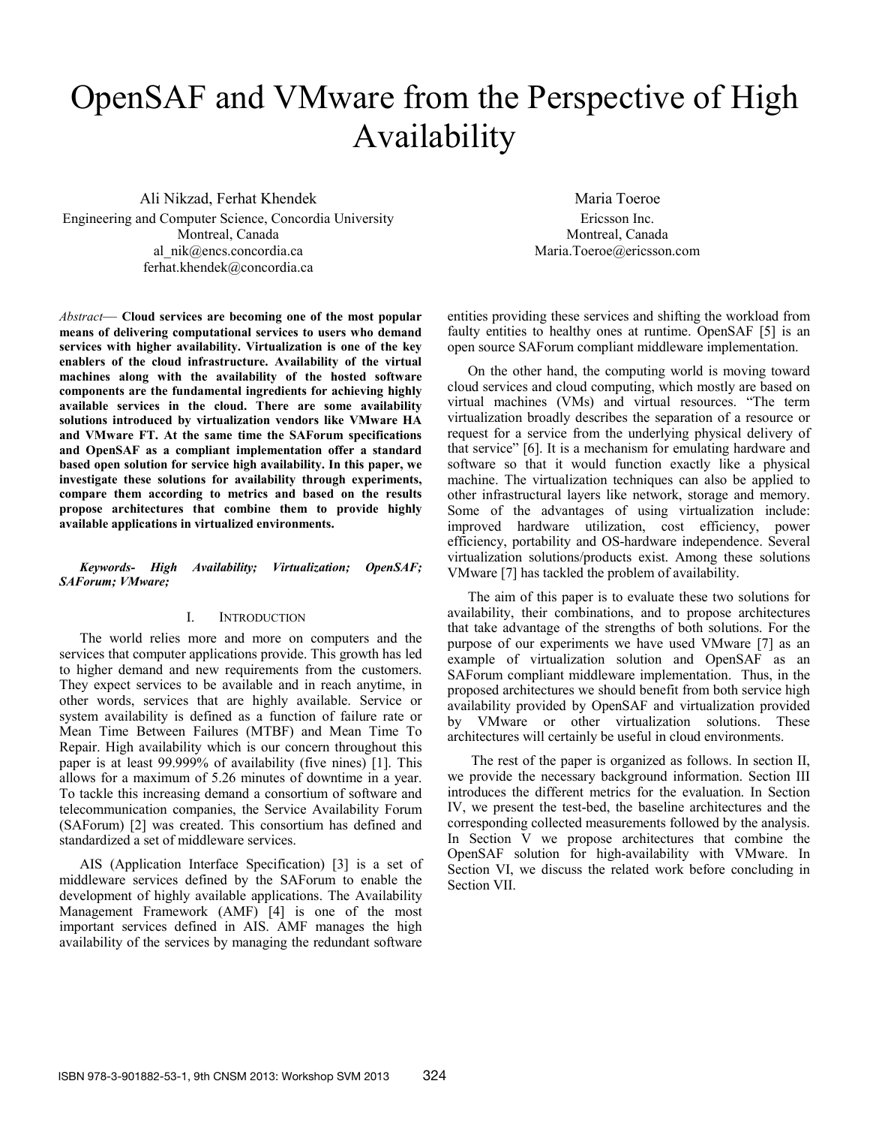# OpenSAF and VMware from the Perspective of High Availability

Ali Nikzad, Ferhat Khendek Engineering and Computer Science, Concordia University Montreal, Canada al\_nik@encs.concordia.ca ferhat.khendek@concordia.ca

*Abstract*— **Cloud services are becoming one of the most popular means of delivering computational services to users who demand services with higher availability. Virtualization is one of the key enablers of the cloud infrastructure. Availability of the virtual machines along with the availability of the hosted software components are the fundamental ingredients for achieving highly available services in the cloud. There are some availability solutions introduced by virtualization vendors like VMware HA and VMware FT. At the same time the SAForum specifications and OpenSAF as a compliant implementation offer a standard based open solution for service high availability. In this paper, we investigate these solutions for availability through experiments, compare them according to metrics and based on the results propose architectures that combine them to provide highly available applications in virtualized environments.**

# *Keywords- High Availability; Virtualization; OpenSAF; SAForum; VMware;*

# I. INTRODUCTION

The world relies more and more on computers and the services that computer applications provide. This growth has led to higher demand and new requirements from the customers. They expect services to be available and in reach anytime, in other words, services that are highly available. Service or system availability is defined as a function of failure rate or Mean Time Between Failures (MTBF) and Mean Time To Repair. High availability which is our concern throughout this paper is at least 99.999% of availability (five nines) [1]. This allows for a maximum of 5.26 minutes of downtime in a year. To tackle this increasing demand a consortium of software and telecommunication companies, the Service Availability Forum (SAForum) [2] was created. This consortium has defined and standardized a set of middleware services.

AIS (Application Interface Specification) [3] is a set of middleware services defined by the SAForum to enable the development of highly available applications. The Availability Management Framework (AMF) [4] is one of the most important services defined in AIS. AMF manages the high availability of the services by managing the redundant software

Maria Toeroe Ericsson Inc. Montreal, Canada Maria.Toeroe@ericsson.com

entities providing these services and shifting the workload from faulty entities to healthy ones at runtime. OpenSAF [5] is an open source SAForum compliant middleware implementation.

On the other hand, the computing world is moving toward cloud services and cloud computing, which mostly are based on virtual machines (VMs) and virtual resources. "The term virtualization broadly describes the separation of a resource or request for a service from the underlying physical delivery of that service" [6]. It is a mechanism for emulating hardware and software so that it would function exactly like a physical machine. The virtualization techniques can also be applied to other infrastructural layers like network, storage and memory. Some of the advantages of using virtualization include: improved hardware utilization, cost efficiency, power efficiency, portability and OS-hardware independence. Several virtualization solutions/products exist. Among these solutions VMware [7] has tackled the problem of availability.

The aim of this paper is to evaluate these two solutions for availability, their combinations, and to propose architectures that take advantage of the strengths of both solutions. For the purpose of our experiments we have used VMware [7] as an example of virtualization solution and OpenSAF as an SAForum compliant middleware implementation. Thus, in the proposed architectures we should benefit from both service high availability provided by OpenSAF and virtualization provided by VMware or other virtualization solutions. These architectures will certainly be useful in cloud environments.

 The rest of the paper is organized as follows. In section II, we provide the necessary background information. Section III introduces the different metrics for the evaluation. In Section IV, we present the test-bed, the baseline architectures and the corresponding collected measurements followed by the analysis. In Section V we propose architectures that combine the OpenSAF solution for high-availability with VMware. In Section VI, we discuss the related work before concluding in Section VII.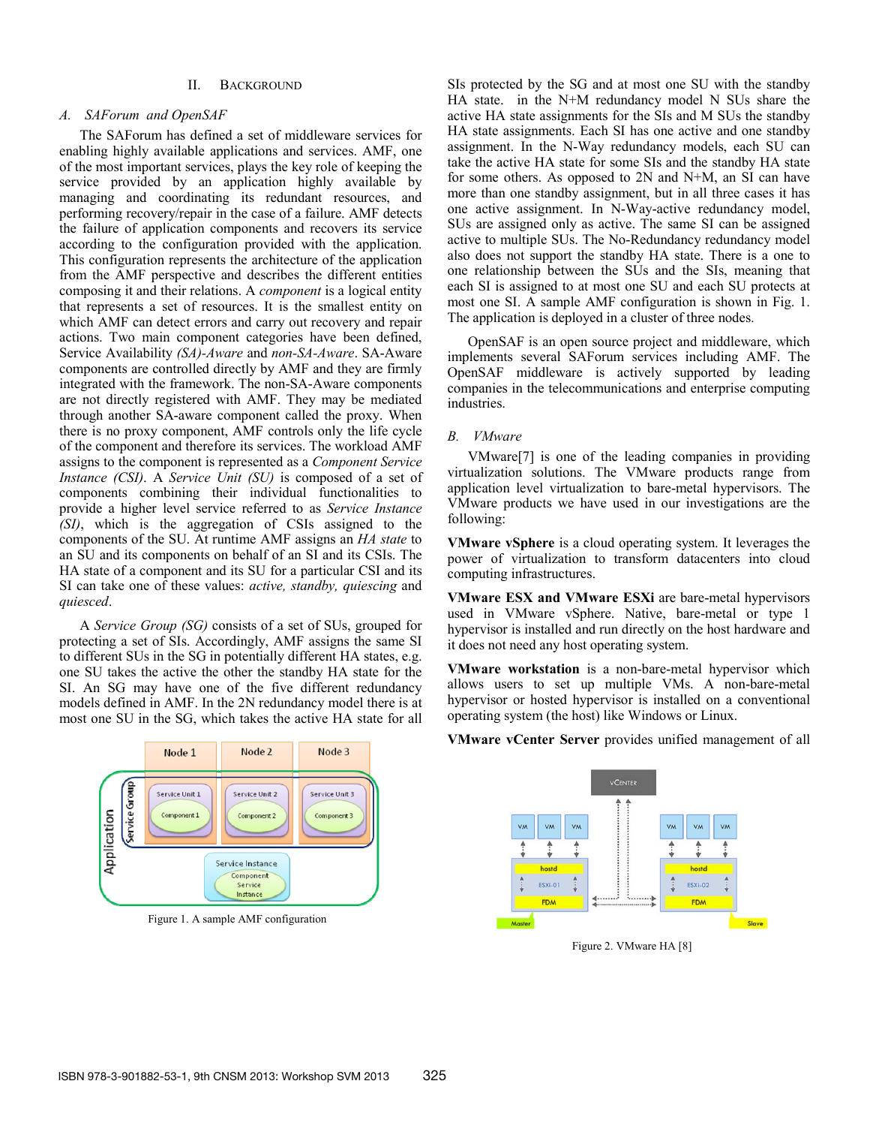# II. BACKGROUND

# *A. SAForum and OpenSAF*

The SAForum has defined a set of middleware services for enabling highly available applications and services. AMF, one of the most important services, plays the key role of keeping the service provided by an application highly available by managing and coordinating its redundant resources, and performing recovery/repair in the case of a failure. AMF detects the failure of application components and recovers its service according to the configuration provided with the application. This configuration represents the architecture of the application from the AMF perspective and describes the different entities composing it and their relations. A *component* is a logical entity that represents a set of resources. It is the smallest entity on which AMF can detect errors and carry out recovery and repair actions. Two main component categories have been defined, Service Availability *(SA)-Aware* and *non-SA-Aware*. SA-Aware components are controlled directly by AMF and they are firmly integrated with the framework. The non-SA-Aware components are not directly registered with AMF. They may be mediated through another SA-aware component called the proxy. When there is no proxy component, AMF controls only the life cycle of the component and therefore its services. The workload AMF assigns to the component is represented as a *Component Service Instance (CSI)*. A *Service Unit (SU)* is composed of a set of components combining their individual functionalities to provide a higher level service referred to as *Service Instance (SI)*, which is the aggregation of CSIs assigned to the components of the SU. At runtime AMF assigns an *HA state* to an SU and its components on behalf of an SI and its CSIs. The HA state of a component and its SU for a particular CSI and its SI can take one of these values: *active, standby, quiescing* and *quiesced*.

A *Service Group (SG)* consists of a set of SUs, grouped for protecting a set of SIs. Accordingly, AMF assigns the same SI to different SUs in the SG in potentially different HA states, e.g. one SU takes the active the other the standby HA state for the SI. An SG may have one of the five different redundancy models defined in AMF. In the 2N redundancy model there is at most one SU in the SG, which takes the active HA state for all



Figure 1. A sample AMF configuration

SIs protected by the SG and at most one SU with the standby HA state. in the N+M redundancy model N SUs share the active HA state assignments for the SIs and M SUs the standby HA state assignments. Each SI has one active and one standby assignment. In the N-Way redundancy models, each SU can take the active HA state for some SIs and the standby HA state for some others. As opposed to 2N and N+M, an SI can have more than one standby assignment, but in all three cases it has one active assignment. In N-Way-active redundancy model, SUs are assigned only as active. The same SI can be assigned active to multiple SUs. The No-Redundancy redundancy model also does not support the standby HA state. There is a one to one relationship between the SUs and the SIs, meaning that each SI is assigned to at most one SU and each SU protects at most one SI. A sample AMF configuration is shown in Fig. 1. The application is deployed in a cluster of three nodes.

OpenSAF is an open source project and middleware, which implements several SAForum services including AMF. The OpenSAF middleware is actively supported by leading companies in the telecommunications and enterprise computing industries.

# *B. VMware*

VMware[7] is one of the leading companies in providing virtualization solutions. The VMware products range from application level virtualization to bare-metal hypervisors. The VMware products we have used in our investigations are the following:

**VMware vSphere** is a cloud operating system. It leverages the power of virtualization to transform datacenters into cloud computing infrastructures.

**VMware ESX and VMware ESXi** are bare-metal hypervisors used in VMware vSphere. Native, bare-metal or type 1 hypervisor is installed and run directly on the host hardware and it does not need any host operating system.

**VMware workstation** is a non-bare-metal hypervisor which allows users to set up multiple VMs. A non-bare-metal hypervisor or hosted hypervisor is installed on a conventional operating system (the host) like Windows or Linux.

**VMware vCenter Server** provides unified management of all



Figure 2. VMware HA [8]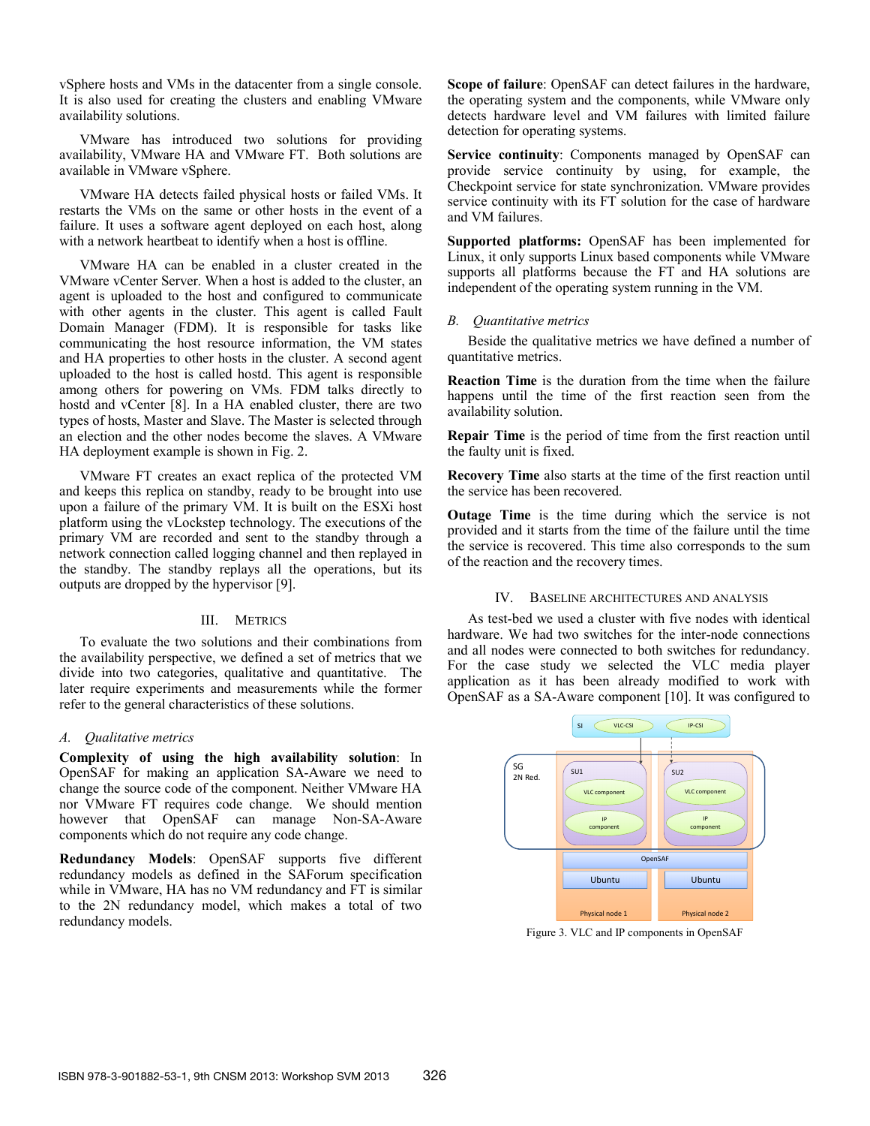vSphere hosts and VMs in the datacenter from a single console. It is also used for creating the clusters and enabling VMware availability solutions.

VMware has introduced two solutions for providing availability, VMware HA and VMware FT. Both solutions are available in VMware vSphere.

VMware HA detects failed physical hosts or failed VMs. It restarts the VMs on the same or other hosts in the event of a failure. It uses a software agent deployed on each host, along with a network heartbeat to identify when a host is offline.

VMware HA can be enabled in a cluster created in the VMware vCenter Server. When a host is added to the cluster, an agent is uploaded to the host and configured to communicate with other agents in the cluster. This agent is called Fault Domain Manager (FDM). It is responsible for tasks like communicating the host resource information, the VM states and HA properties to other hosts in the cluster. A second agent uploaded to the host is called hostd. This agent is responsible among others for powering on VMs. FDM talks directly to hostd and vCenter [8]. In a HA enabled cluster, there are two types of hosts, Master and Slave. The Master is selected through an election and the other nodes become the slaves. A VMware HA deployment example is shown in Fig. 2.

VMware FT creates an exact replica of the protected VM and keeps this replica on standby, ready to be brought into use upon a failure of the primary VM. It is built on the ESXi host platform using the vLockstep technology. The executions of the primary VM are recorded and sent to the standby through a network connection called logging channel and then replayed in the standby. The standby replays all the operations, but its outputs are dropped by the hypervisor [9].

# III. METRICS

To evaluate the two solutions and their combinations from the availability perspective, we defined a set of metrics that we divide into two categories, qualitative and quantitative. The later require experiments and measurements while the former refer to the general characteristics of these solutions.

#### *A. Qualitative metrics*

**Complexity of using the high availability solution**: In OpenSAF for making an application SA-Aware we need to change the source code of the component. Neither VMware HA nor VMware FT requires code change. We should mention however that OpenSAF can manage Non-SA-Aware components which do not require any code change.

**Redundancy Models**: OpenSAF supports five different redundancy models as defined in the SAForum specification while in VMware, HA has no VM redundancy and FT is similar to the 2N redundancy model, which makes a total of two redundancy models.

**Scope of failure**: OpenSAF can detect failures in the hardware, the operating system and the components, while VMware only detects hardware level and VM failures with limited failure detection for operating systems.

**Service continuity**: Components managed by OpenSAF can provide service continuity by using, for example, the Checkpoint service for state synchronization. VMware provides service continuity with its FT solution for the case of hardware and VM failures.

**Supported platforms:** OpenSAF has been implemented for Linux, it only supports Linux based components while VMware supports all platforms because the FT and HA solutions are independent of the operating system running in the VM.

## *B. Quantitative metrics*

Beside the qualitative metrics we have defined a number of quantitative metrics.

**Reaction Time** is the duration from the time when the failure happens until the time of the first reaction seen from the availability solution.

**Repair Time** is the period of time from the first reaction until the faulty unit is fixed.

**Recovery Time** also starts at the time of the first reaction until the service has been recovered.

**Outage Time** is the time during which the service is not provided and it starts from the time of the failure until the time the service is recovered. This time also corresponds to the sum of the reaction and the recovery times.

# IV. BASELINE ARCHITECTURES AND ANALYSIS

As test-bed we used a cluster with five nodes with identical hardware. We had two switches for the inter-node connections and all nodes were connected to both switches for redundancy. For the case study we selected the VLC media player application as it has been already modified to work with OpenSAF as a SA-Aware component [10]. It was configured to



Figure 3. VLC and IP components in OpenSAF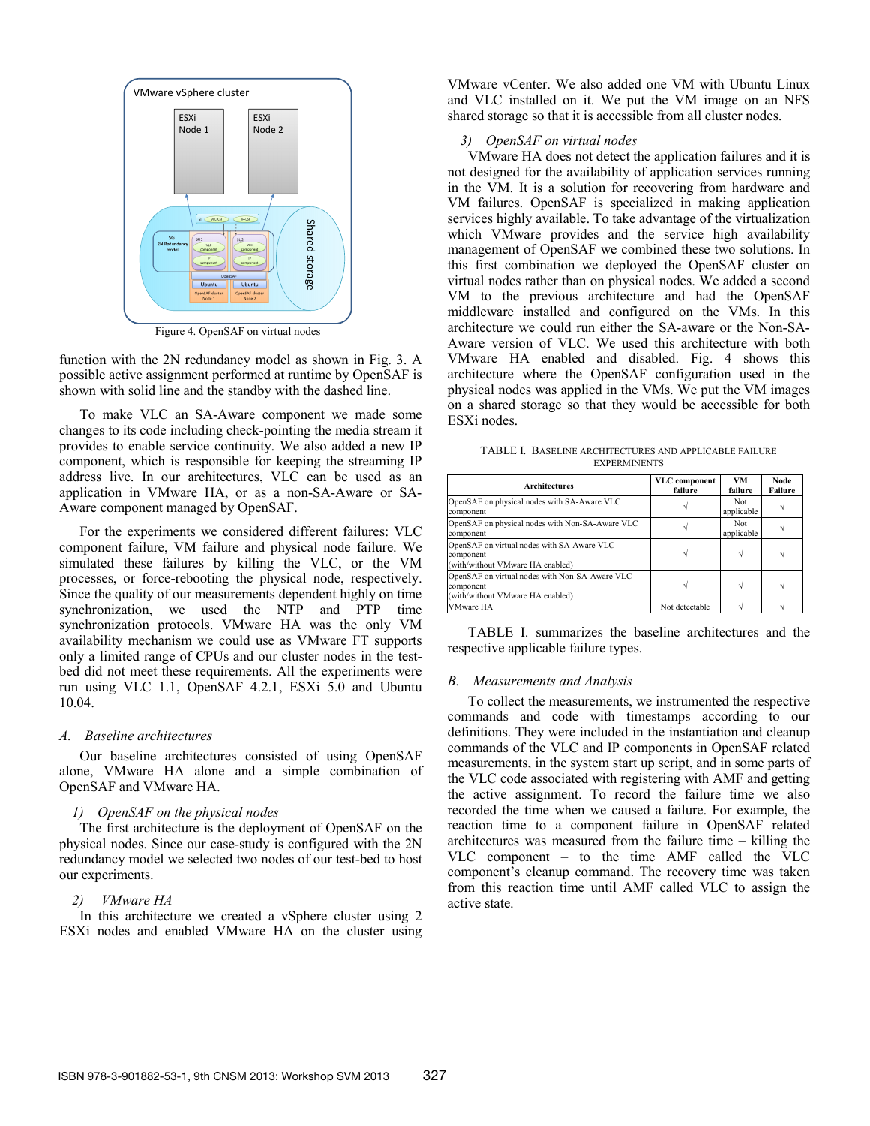

Figure 4. OpenSAF on virtual nodes

function with the 2N redundancy model as shown in Fig. 3. A possible active assignment performed at runtime by OpenSAF is shown with solid line and the standby with the dashed line.

To make VLC an SA-Aware component we made some changes to its code including check-pointing the media stream it provides to enable service continuity. We also added a new IP component, which is responsible for keeping the streaming IP address live. In our architectures, VLC can be used as an application in VMware HA, or as a non-SA-Aware or SA-Aware component managed by OpenSAF.

For the experiments we considered different failures: VLC component failure, VM failure and physical node failure. We simulated these failures by killing the VLC, or the VM processes, or force-rebooting the physical node, respectively. Since the quality of our measurements dependent highly on time synchronization, we used the NTP and PTP time synchronization protocols. VMware HA was the only VM availability mechanism we could use as VMware FT supports only a limited range of CPUs and our cluster nodes in the testbed did not meet these requirements. All the experiments were run using VLC 1.1, OpenSAF 4.2.1, ESXi 5.0 and Ubuntu 10.04.

# *A. Baseline architectures*

Our baseline architectures consisted of using OpenSAF alone, VMware HA alone and a simple combination of OpenSAF and VMware HA.

# *1) OpenSAF on the physical nodes*

The first architecture is the deployment of OpenSAF on the physical nodes. Since our case-study is configured with the 2N redundancy model we selected two nodes of our test-bed to host our experiments.

## *2) VMware HA*

In this architecture we created a vSphere cluster using 2 ESXi nodes and enabled VMware HA on the cluster using VMware vCenter. We also added one VM with Ubuntu Linux and VLC installed on it. We put the VM image on an NFS shared storage so that it is accessible from all cluster nodes.

# *3) OpenSAF on virtual nodes*

VMware HA does not detect the application failures and it is not designed for the availability of application services running in the VM. It is a solution for recovering from hardware and VM failures. OpenSAF is specialized in making application services highly available. To take advantage of the virtualization which VMware provides and the service high availability management of OpenSAF we combined these two solutions. In this first combination we deployed the OpenSAF cluster on virtual nodes rather than on physical nodes. We added a second VM to the previous architecture and had the OpenSAF middleware installed and configured on the VMs. In this architecture we could run either the SA-aware or the Non-SA-Aware version of VLC. We used this architecture with both VMware HA enabled and disabled. Fig. 4 shows this architecture where the OpenSAF configuration used in the physical nodes was applied in the VMs. We put the VM images on a shared storage so that they would be accessible for both ESXi nodes.

TABLE I. BASELINE ARCHITECTURES AND APPLICABLE FAILURE EXPERMINENTS

| <b>Architectures</b>                                                                            | <b>VLC</b> component<br>failure | <b>VM</b><br>failure | Node<br>Failure |
|-------------------------------------------------------------------------------------------------|---------------------------------|----------------------|-----------------|
| OpenSAF on physical nodes with SA-Aware VLC<br>component                                        |                                 | Not<br>applicable    |                 |
| OpenSAF on physical nodes with Non-SA-Aware VLC<br>component                                    |                                 | Not<br>applicable    |                 |
| OpenSAF on virtual nodes with SA-Aware VLC<br>component<br>(with/without VMware HA enabled)     |                                 |                      | V               |
| OpenSAF on virtual nodes with Non-SA-Aware VLC<br>component<br>(with/without VMware HA enabled) |                                 |                      | V               |
| <b>VMware HA</b>                                                                                | Not detectable                  |                      |                 |

TABLE I. summarizes the baseline architectures and the respective applicable failure types.

# *B. Measurements and Analysis*

To collect the measurements, we instrumented the respective commands and code with timestamps according to our definitions. They were included in the instantiation and cleanup commands of the VLC and IP components in OpenSAF related measurements, in the system start up script, and in some parts of the VLC code associated with registering with AMF and getting the active assignment. To record the failure time we also recorded the time when we caused a failure. For example, the reaction time to a component failure in OpenSAF related architectures was measured from the failure time – killing the VLC component – to the time AMF called the VLC component's cleanup command. The recovery time was taken from this reaction time until AMF called VLC to assign the active state.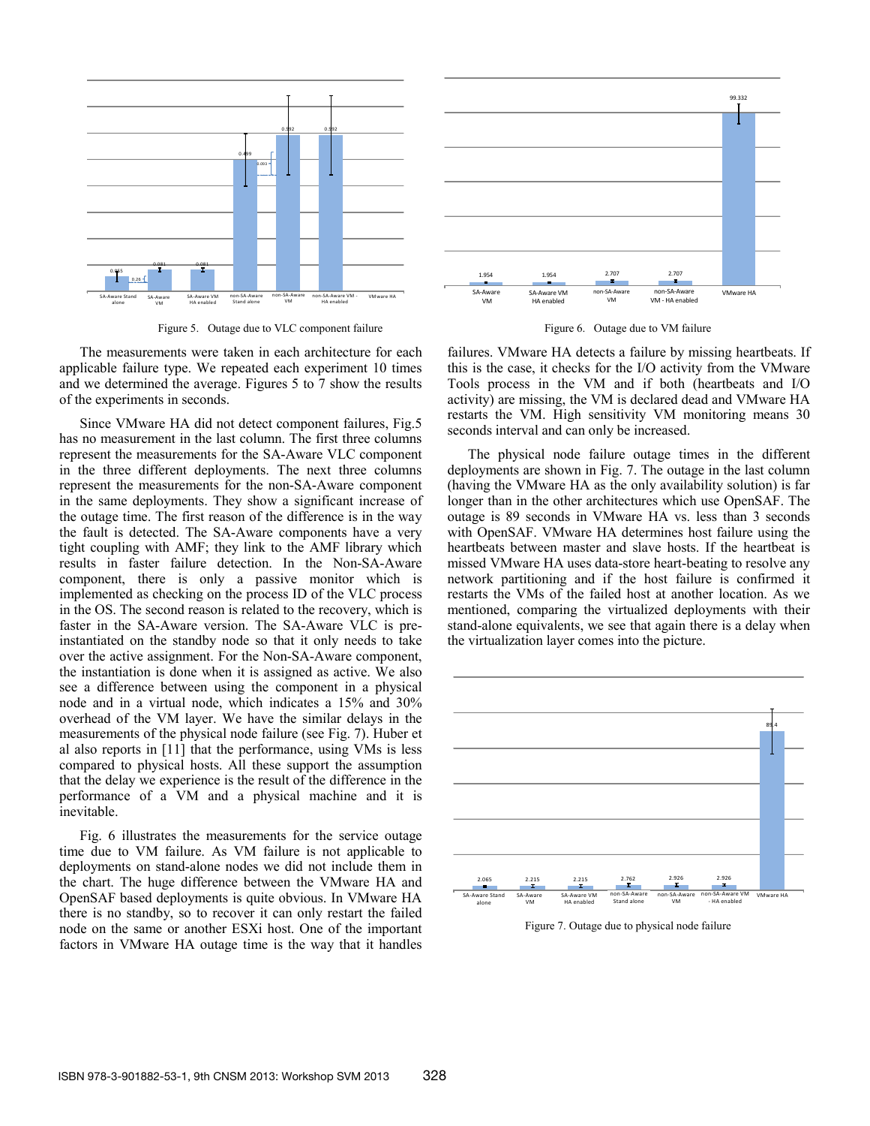

Figure 5. Outage due to VLC component failure Figure 6. Outage due to VM failure

The measurements were taken in each architecture for each applicable failure type. We repeated each experiment 10 times and we determined the average. Figures 5 to 7 show the results of the experiments in seconds.

Since VMware HA did not detect component failures, Fig.5 has no measurement in the last column. The first three columns represent the measurements for the SA-Aware VLC component in the three different deployments. The next three columns represent the measurements for the non-SA-Aware component in the same deployments. They show a significant increase of the outage time. The first reason of the difference is in the way the fault is detected. The SA-Aware components have a very tight coupling with AMF; they link to the AMF library which results in faster failure detection. In the Non-SA-Aware component, there is only a passive monitor which is implemented as checking on the process ID of the VLC process in the OS. The second reason is related to the recovery, which is faster in the SA-Aware version. The SA-Aware VLC is preinstantiated on the standby node so that it only needs to take over the active assignment. For the Non-SA-Aware component, the instantiation is done when it is assigned as active. We also see a difference between using the component in a physical node and in a virtual node, which indicates a 15% and 30% overhead of the VM layer. We have the similar delays in the measurements of the physical node failure (see Fig. 7). Huber et al also reports in [11] that the performance, using VMs is less compared to physical hosts. All these support the assumption that the delay we experience is the result of the difference in the performance of a VM and a physical machine and it is inevitable.

Fig. 6 illustrates the measurements for the service outage time due to VM failure. As VM failure is not applicable to deployments on stand-alone nodes we did not include them in the chart. The huge difference between the VMware HA and OpenSAF based deployments is quite obvious. In VMware HA there is no standby, so to recover it can only restart the failed node on the same or another ESXi host. One of the important factors in VMware HA outage time is the way that it handles



failures. VMware HA detects a failure by missing heartbeats. If this is the case, it checks for the I/O activity from the VMware Tools process in the VM and if both (heartbeats and I/O activity) are missing, the VM is declared dead and VMware HA restarts the VM. High sensitivity VM monitoring means 30 seconds interval and can only be increased.

The physical node failure outage times in the different deployments are shown in Fig. 7. The outage in the last column (having the VMware HA as the only availability solution) is far longer than in the other architectures which use OpenSAF. The outage is 89 seconds in VMware HA vs. less than 3 seconds with OpenSAF. VMware HA determines host failure using the heartbeats between master and slave hosts. If the heartbeat is missed VMware HA uses data-store heart-beating to resolve any network partitioning and if the host failure is confirmed it restarts the VMs of the failed host at another location. As we mentioned, comparing the virtualized deployments with their stand-alone equivalents, we see that again there is a delay when the virtualization layer comes into the picture.



Figure 7. Outage due to physical node failure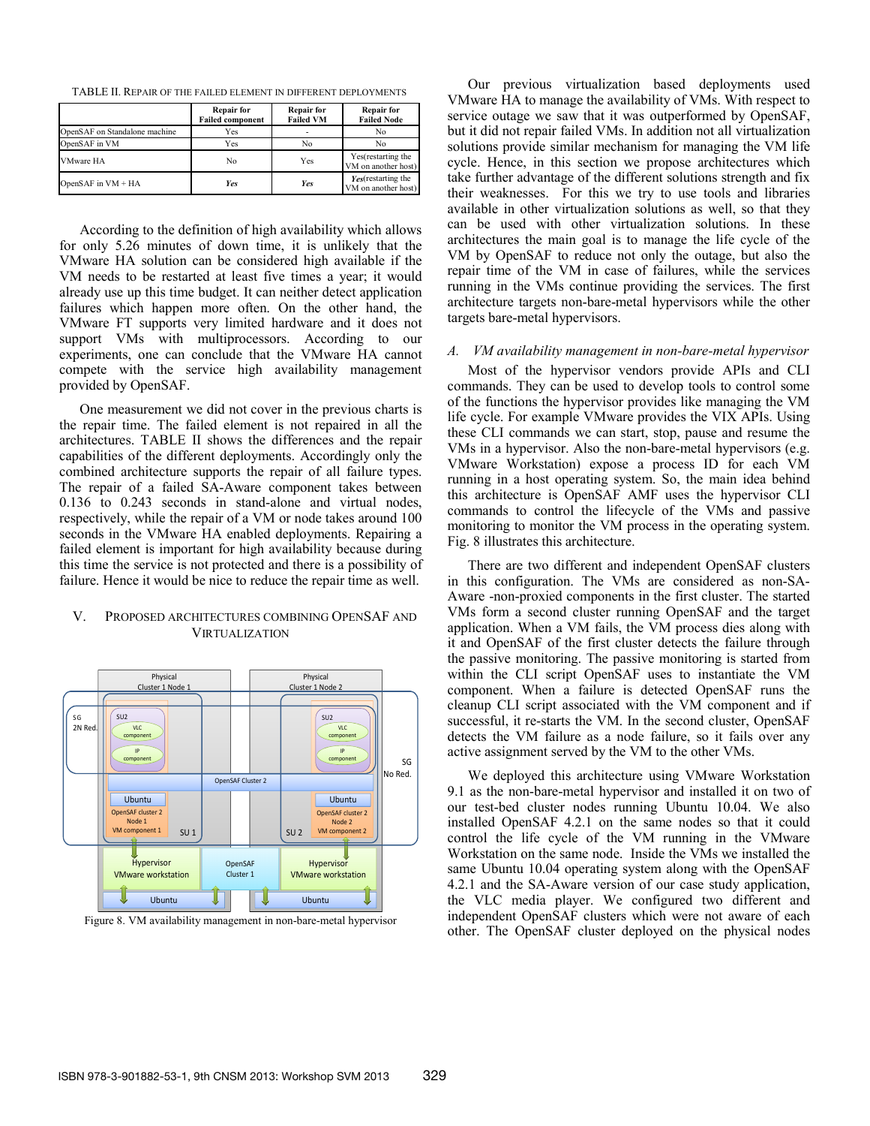|                               | <b>Repair for</b><br><b>Failed component</b> | <b>Repair for</b><br><b>Failed VM</b> | <b>Repair for</b><br><b>Failed Node</b>   |
|-------------------------------|----------------------------------------------|---------------------------------------|-------------------------------------------|
| OpenSAF on Standalone machine | Yes                                          |                                       | Nο                                        |
| OpenSAF in VM                 | Yes                                          | No                                    | Nο                                        |
| <b>VMware HA</b>              | No                                           | Yes                                   | Yes(restarting the<br>VM on another host) |
| OpenSAF in VM + HA            | Yes                                          | Yes                                   | Yes(restarting the<br>VM on another host) |

According to the definition of high availability which allows for only 5.26 minutes of down time, it is unlikely that the VMware HA solution can be considered high available if the VM needs to be restarted at least five times a year; it would already use up this time budget. It can neither detect application failures which happen more often. On the other hand, the VMware FT supports very limited hardware and it does not support VMs with multiprocessors. According to our experiments, one can conclude that the VMware HA cannot compete with the service high availability management provided by OpenSAF.

One measurement we did not cover in the previous charts is the repair time. The failed element is not repaired in all the architectures. TABLE II shows the differences and the repair capabilities of the different deployments. Accordingly only the combined architecture supports the repair of all failure types. The repair of a failed SA-Aware component takes between 0.136 to 0.243 seconds in stand-alone and virtual nodes, respectively, while the repair of a VM or node takes around 100 seconds in the VMware HA enabled deployments. Repairing a failed element is important for high availability because during this time the service is not protected and there is a possibility of failure. Hence it would be nice to reduce the repair time as well.

# V. PROPOSED ARCHITECTURES COMBINING OPENSAF AND VIRTUALIZATION



Figure 8. VM availability management in non-bare-metal hypervisor

Our previous virtualization based deployments used VMware HA to manage the availability of VMs. With respect to service outage we saw that it was outperformed by OpenSAF, but it did not repair failed VMs. In addition not all virtualization solutions provide similar mechanism for managing the VM life cycle. Hence, in this section we propose architectures which take further advantage of the different solutions strength and fix their weaknesses. For this we try to use tools and libraries available in other virtualization solutions as well, so that they can be used with other virtualization solutions. In these architectures the main goal is to manage the life cycle of the VM by OpenSAF to reduce not only the outage, but also the repair time of the VM in case of failures, while the services running in the VMs continue providing the services. The first architecture targets non-bare-metal hypervisors while the other targets bare-metal hypervisors.

# *A. VM availability management in non-bare-metal hypervisor*

Most of the hypervisor vendors provide APIs and CLI commands. They can be used to develop tools to control some of the functions the hypervisor provides like managing the VM life cycle. For example VMware provides the VIX APIs. Using these CLI commands we can start, stop, pause and resume the VMs in a hypervisor. Also the non-bare-metal hypervisors (e.g. VMware Workstation) expose a process ID for each VM running in a host operating system. So, the main idea behind this architecture is OpenSAF AMF uses the hypervisor CLI commands to control the lifecycle of the VMs and passive monitoring to monitor the VM process in the operating system. Fig. 8 illustrates this architecture.

There are two different and independent OpenSAF clusters in this configuration. The VMs are considered as non-SA-Aware -non-proxied components in the first cluster. The started VMs form a second cluster running OpenSAF and the target application. When a VM fails, the VM process dies along with it and OpenSAF of the first cluster detects the failure through the passive monitoring. The passive monitoring is started from within the CLI script OpenSAF uses to instantiate the VM component. When a failure is detected OpenSAF runs the cleanup CLI script associated with the VM component and if successful, it re-starts the VM. In the second cluster, OpenSAF detects the VM failure as a node failure, so it fails over any active assignment served by the VM to the other VMs.

We deployed this architecture using VMware Workstation 9.1 as the non-bare-metal hypervisor and installed it on two of our test-bed cluster nodes running Ubuntu 10.04. We also installed OpenSAF 4.2.1 on the same nodes so that it could control the life cycle of the VM running in the VMware Workstation on the same node. Inside the VMs we installed the same Ubuntu 10.04 operating system along with the OpenSAF 4.2.1 and the SA-Aware version of our case study application, the VLC media player. We configured two different and independent OpenSAF clusters which were not aware of each other. The OpenSAF cluster deployed on the physical nodes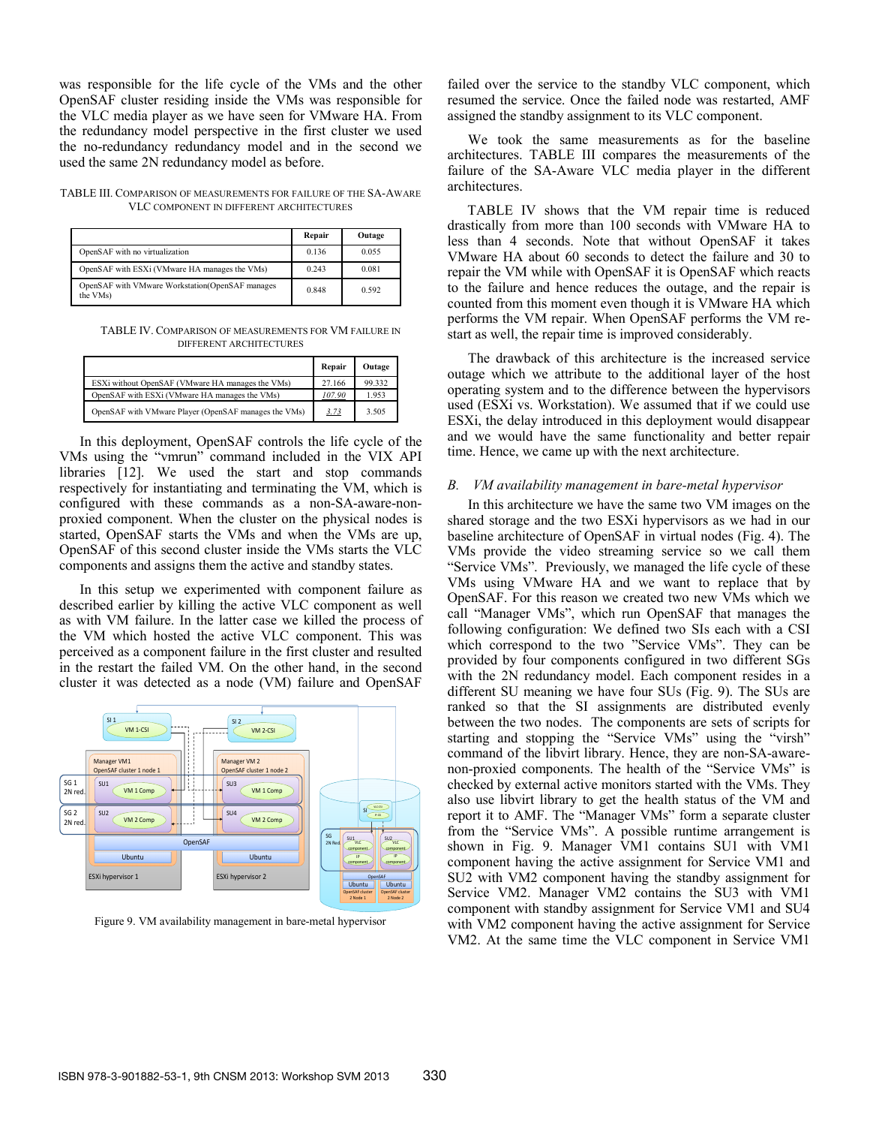was responsible for the life cycle of the VMs and the other OpenSAF cluster residing inside the VMs was responsible for the VLC media player as we have seen for VMware HA. From the redundancy model perspective in the first cluster we used the no-redundancy redundancy model and in the second we used the same 2N redundancy model as before.

TABLE III. COMPARISON OF MEASUREMENTS FOR FAILURE OF THE SA-AWARE VLC COMPONENT IN DIFFERENT ARCHITECTURES

|                                                               | Repair | Outage |
|---------------------------------------------------------------|--------|--------|
| OpenSAF with no virtualization                                | 0.136  | 0.055  |
| OpenSAF with ESXi (VMware HA manages the VMs)                 | 0.243  | 0.081  |
| OpenSAF with VMware Workstation (OpenSAF manages)<br>the VMs) | 0.848  | 0.592  |

TABLE IV. COMPARISON OF MEASUREMENTS FOR VM FAILURE IN DIFFERENT ARCHITECTURES

|                                                      | Repair | Outage |
|------------------------------------------------------|--------|--------|
| ESXi without OpenSAF (VMware HA manages the VMs)     | 27.166 | 99.332 |
| OpenSAF with ESXi (VMware HA manages the VMs)        | 107.90 | 1.953  |
| OpenSAF with VMware Player (OpenSAF manages the VMs) | 3.73   | 3.505  |

In this deployment, OpenSAF controls the life cycle of the VMs using the "vmrun" command included in the VIX API libraries [12]. We used the start and stop commands respectively for instantiating and terminating the VM, which is configured with these commands as a non-SA-aware-nonproxied component. When the cluster on the physical nodes is started, OpenSAF starts the VMs and when the VMs are up, OpenSAF of this second cluster inside the VMs starts the VLC components and assigns them the active and standby states.

In this setup we experimented with component failure as described earlier by killing the active VLC component as well as with VM failure. In the latter case we killed the process of the VM which hosted the active VLC component. This was perceived as a component failure in the first cluster and resulted in the restart the failed VM. On the other hand, in the second cluster it was detected as a node (VM) failure and OpenSAF



Figure 9. VM availability management in bare-metal hypervisor

failed over the service to the standby VLC component, which resumed the service. Once the failed node was restarted, AMF assigned the standby assignment to its VLC component.

We took the same measurements as for the baseline architectures. TABLE III compares the measurements of the failure of the SA-Aware VLC media player in the different architectures.

TABLE IV shows that the VM repair time is reduced drastically from more than 100 seconds with VMware HA to less than 4 seconds. Note that without OpenSAF it takes VMware HA about 60 seconds to detect the failure and 30 to repair the VM while with OpenSAF it is OpenSAF which reacts to the failure and hence reduces the outage, and the repair is counted from this moment even though it is VMware HA which performs the VM repair. When OpenSAF performs the VM restart as well, the repair time is improved considerably.

The drawback of this architecture is the increased service outage which we attribute to the additional layer of the host operating system and to the difference between the hypervisors used (ESXi vs. Workstation). We assumed that if we could use ESXi, the delay introduced in this deployment would disappear and we would have the same functionality and better repair time. Hence, we came up with the next architecture.

# *B. VM availability management in bare-metal hypervisor*

In this architecture we have the same two VM images on the shared storage and the two ESXi hypervisors as we had in our baseline architecture of OpenSAF in virtual nodes (Fig. 4). The VMs provide the video streaming service so we call them "Service VMs". Previously, we managed the life cycle of these VMs using VMware HA and we want to replace that by OpenSAF. For this reason we created two new VMs which we call "Manager VMs", which run OpenSAF that manages the following configuration: We defined two SIs each with a CSI which correspond to the two "Service VMs". They can be provided by four components configured in two different SGs with the 2N redundancy model. Each component resides in a different SU meaning we have four SUs (Fig. 9). The SUs are ranked so that the SI assignments are distributed evenly between the two nodes. The components are sets of scripts for starting and stopping the "Service VMs" using the "virsh" command of the libvirt library. Hence, they are non-SA-awarenon-proxied components. The health of the "Service VMs" is checked by external active monitors started with the VMs. They also use libvirt library to get the health status of the VM and report it to AMF. The "Manager VMs" form a separate cluster from the "Service VMs". A possible runtime arrangement is shown in Fig. 9. Manager VM1 contains SU1 with VM1 component having the active assignment for Service VM1 and SU2 with VM2 component having the standby assignment for Service VM2. Manager VM2 contains the SU3 with VM1 component with standby assignment for Service VM1 and SU4 with VM2 component having the active assignment for Service VM2. At the same time the VLC component in Service VM1